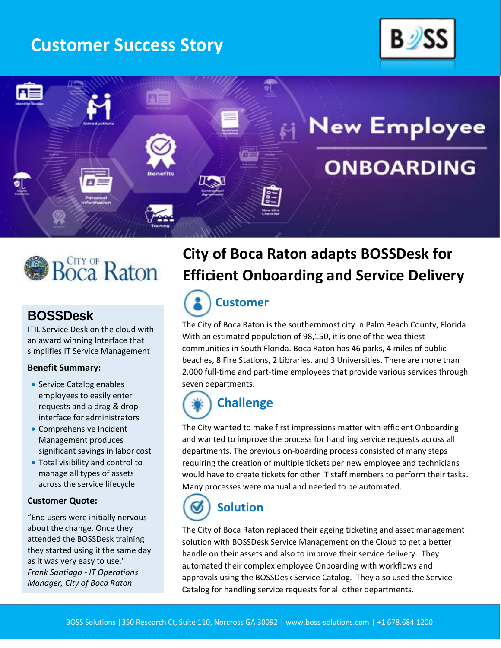# **Customer Success Story**







### **BOSSDesk**

ITIL Service Desk on the cloud with an award winning Interface that simplifies IT Service Management

#### **Benefit Summary:**

- Service Catalog enables employees to easily enter requests and a drag & drop interface for administrators
- Comprehensive Incident Management produces significant savings in labor cost
- Total visibility and control to manage all types of assets across the service lifecycle

#### **Customer Quote:**

"End users were initially nervous about the change. Once they attended the BOSSDesk training they started using it the same day as it was very easy to use." *Frank Santiago - IT Operations Manager, City of Boca Raton* 

# **City of Boca Raton adapts BOSSDesk for Efficient Onboarding and Service Delivery**



The City of Boca Raton is the southernmost city in Palm Beach County, Florida. With an estimated population of 98,150, it is one of the wealthiest communities in South Florida. Boca Raton has 46 parks, 4 miles of public beaches, 8 Fire Stations, 2 Libraries, and 3 Universities. There are more than 2,000 full-time and part-time employees that provide various services through seven departments.

# **Challenge**

The City wanted to make first impressions matter with efficient Onboarding and wanted to improve the process for handling service requests across all departments. The previous on-boarding process consisted of many steps requiring the creation of multiple tickets per new employee and technicians would have to create tickets for other IT staff members to perform their tasks. Many processes were manual and needed to be automated.

# **Solution**

The City of Boca Raton replaced their ageing ticketing and asset management solution with BOSSDesk Service Management on the Cloud to get a better handle on their assets and also to improve their service delivery. They automated their complex employee Onboarding with workflows and approvals using the BOSSDesk Service Catalog. They also used the Service Catalog for handling service requests for all other departments.